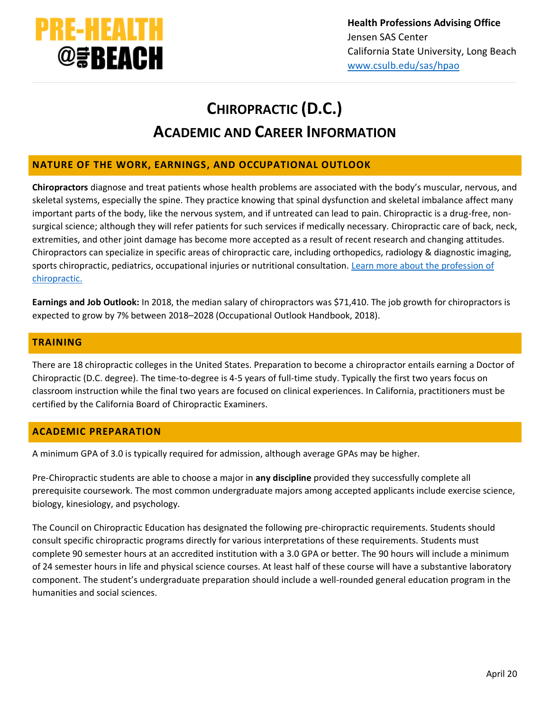

# **CHIROPRACTIC (D.C.) ACADEMIC AND CAREER INFORMATION**

## **NATURE OF THE WORK, EARNINGS, AND OCCUPATIONAL OUTLOOK**

**Chiropractors** diagnose and treat patients whose health problems are associated with the body's muscular, nervous, and skeletal systems, especially the spine. They practice knowing that spinal dysfunction and skeletal imbalance affect many important parts of the body, like the nervous system, and if untreated can lead to pain. Chiropractic is a drug-free, nonsurgical science; although they will refer patients for such services if medically necessary. Chiropractic care of back, neck, extremities, and other joint damage has become more accepted as a result of recent research and changing attitudes. Chiropractors can specialize in specific areas of chiropractic care, including orthopedics, radiology & diagnostic imaging, sports chiropractic, pediatrics, occupational injuries or nutritional consultation. [Learn more about the profession of](https://www.acatoday.org/patients/why-choose-chiropractic/what-is-chiropractic)  [chiropractic.](https://www.acatoday.org/patients/why-choose-chiropractic/what-is-chiropractic)

**Earnings and Job Outlook:** In 2018, the median salary of chiropractors was \$71,410. The job growth for chiropractors is expected to grow by 7% between 2018–2028 (Occupational Outlook Handbook, 2018).

#### **TRAINING**

There are 18 chiropractic colleges in the United States. Preparation to become a chiropractor entails earning a Doctor of Chiropractic (D.C. degree). The time-to-degree is 4-5 years of full-time study. Typically the first two years focus on classroom instruction while the final two years are focused on clinical experiences. In California, practitioners must be certified by the California Board of Chiropractic Examiners.

#### **ACADEMIC PREPARATION**

A minimum GPA of 3.0 is typically required for admission, although average GPAs may be higher.

Pre-Chiropractic students are able to choose a major in **any discipline** provided they successfully complete all prerequisite coursework. The most common undergraduate majors among accepted applicants include exercise science, biology, kinesiology, and psychology.

The Council on Chiropractic Education has designated the following pre-chiropractic requirements. Students should consult specific chiropractic programs directly for various interpretations of these requirements. Students must complete 90 semester hours at an accredited institution with a 3.0 GPA or better. The 90 hours will include a minimum of 24 semester hours in life and physical science courses. At least half of these course will have a substantive laboratory component. The student's undergraduate preparation should include a well-rounded general education program in the humanities and social sciences.